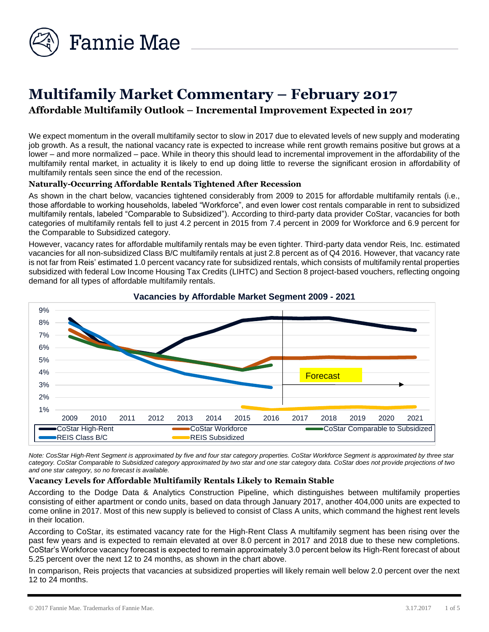

# **Multifamily Market Commentary – February 2017 Affordable Multifamily Outlook – Incremental Improvement Expected in 2017**

We expect momentum in the overall multifamily sector to slow in 2017 due to elevated levels of new supply and moderating job growth. As a result, the national vacancy rate is expected to increase while rent growth remains positive but grows at a lower – and more normalized – pace. While in theory this should lead to incremental improvement in the affordability of the multifamily rental market, in actuality it is likely to end up doing little to reverse the significant erosion in affordability of multifamily rentals seen since the end of the recession.

### **Naturally-Occurring Affordable Rentals Tightened After Recession**

As shown in the chart below, vacancies tightened considerably from 2009 to 2015 for affordable multifamily rentals (i.e., those affordable to working households, labeled "Workforce", and even lower cost rentals comparable in rent to subsidized multifamily rentals, labeled "Comparable to Subsidized"). According to third-party data provider CoStar, vacancies for both categories of multifamily rentals fell to just 4.2 percent in 2015 from 7.4 percent in 2009 for Workforce and 6.9 percent for the Comparable to Subsidized category.

However, vacancy rates for affordable multifamily rentals may be even tighter. Third-party data vendor Reis, Inc. estimated vacancies for all non-subsidized Class B/C multifamily rentals at just 2.8 percent as of Q4 2016. However, that vacancy rate is not far from Reis' estimated 1.0 percent vacancy rate for subsidized rentals, which consists of multifamily rental properties subsidized with federal Low Income Housing Tax Credits (LIHTC) and Section 8 project-based vouchers, reflecting ongoing demand for all types of affordable multifamily rentals.



#### **Vacancies by Affordable Market Segment 2009 - 2021**

*Note: CosStar High-Rent Segment is approximated by five and four star category properties. CoStar Workforce Segment is approximated by three star category. CoStar Comparable to Subsidized category approximated by two star and one star category data. CoStar does not provide projections of two and one star category, so no forecast is available.*

### **Vacancy Levels for Affordable Multifamily Rentals Likely to Remain Stable**

According to the Dodge Data & Analytics Construction Pipeline, which distinguishes between multifamily properties consisting of either apartment or condo units, based on data through January 2017, another 404,000 units are expected to come online in 2017. Most of this new supply is believed to consist of Class A units, which command the highest rent levels in their location.

According to CoStar, its estimated vacancy rate for the High-Rent Class A multifamily segment has been rising over the past few years and is expected to remain elevated at over 8.0 percent in 2017 and 2018 due to these new completions. CoStar's Workforce vacancy forecast is expected to remain approximately 3.0 percent below its High-Rent forecast of about 5.25 percent over the next 12 to 24 months, as shown in the chart above.

In comparison, Reis projects that vacancies at subsidized properties will likely remain well below 2.0 percent over the next 12 to 24 months.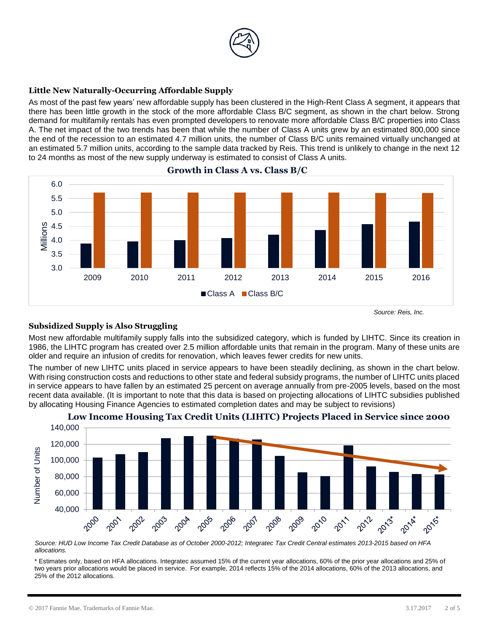

# **Little New Naturally-Occurring Affordable Supply**

As most of the past few years' new affordable supply has been clustered in the High-Rent Class A segment, it appears that there has been little growth in the stock of the more affordable Class B/C segment, as shown in the chart below. Strong demand for multifamily rentals has even prompted developers to renovate more affordable Class B/C properties into Class A. The net impact of the two trends has been that while the number of Class A units grew by an estimated 800,000 since the end of the recession to an estimated 4.7 million units, the number of Class B/C units remained virtually unchanged at an estimated 5.7 million units, according to the sample data tracked by Reis. This trend is unlikely to change in the next 12 to 24 months as most of the new supply underway is estimated to consist of Class A units.



**Growth in Class A vs. Class B/C** 

# **Subsidized Supply is Also Struggling**

Most new affordable multifamily supply falls into the subsidized category, which is funded by LIHTC. Since its creation in 1986, the LIHTC program has created over 2.5 million affordable units that remain in the program. Many of these units are older and require an infusion of credits for renovation, which leaves fewer credits for new units.

The number of new LIHTC units placed in service appears to have been steadily declining, as shown in the chart below. With rising construction costs and reductions to other state and federal subsidy programs, the number of LIHTC units placed in service appears to have fallen by an estimated 25 percent on average annually from pre-2005 levels, based on the most recent data available. (It is important to note that this data is based on projecting allocations of LIHTC subsidies published by allocating Housing Finance Agencies to estimated completion dates and may be subject to revisions)



### **Low Income Housing Tax Credit Units (LIHTC) Projects Placed in Service since 2000**

*Source: HUD Low Income Tax Credit Database as of October 2000-2012; Integratec Tax Credit Central estimates 2013-2015 based on HFA allocations.*

\* Estimates only, based on HFA allocations. Integratec assumed 15% of the current year allocations, 60% of the prior year allocations and 25% of two years prior allocations would be placed in service. For example, 2014 reflects 15% of the 2014 allocations, 60% of the 2013 allocations, and 25% of the 2012 allocations.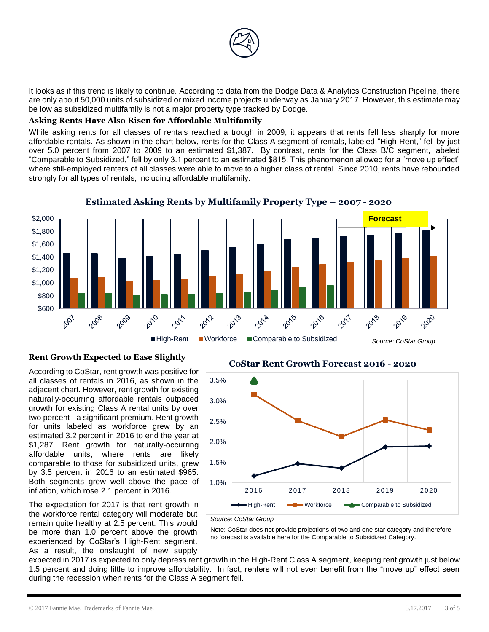

It looks as if this trend is likely to continue. According to data from the Dodge Data & Analytics Construction Pipeline, there are only about 50,000 units of subsidized or mixed income projects underway as January 2017. However, this estimate may be low as subsidized multifamily is not a major property type tracked by Dodge.

#### **Asking Rents Have Also Risen for Affordable Multifamily**

While asking rents for all classes of rentals reached a trough in 2009, it appears that rents fell less sharply for more affordable rentals. As shown in the chart below, rents for the Class A segment of rentals, labeled "High-Rent," fell by just over 5.0 percent from 2007 to 2009 to an estimated \$1,387. By contrast, rents for the Class B/C segment, labeled "Comparable to Subsidized," fell by only 3.1 percent to an estimated \$815. This phenomenon allowed for a "move up effect" where still-employed renters of all classes were able to move to a higher class of rental. Since 2010, rents have rebounded strongly for all types of rentals, including affordable multifamily.



# **Estimated Asking Rents by Multifamily Property Type – 2007 - 2020**

### **Rent Growth Expected to Ease Slightly**

According to CoStar, rent growth was positive for all classes of rentals in 2016, as shown in the adjacent chart. However, rent growth for existing naturally-occurring affordable rentals outpaced growth for existing Class A rental units by over two percent - a significant premium. Rent growth for units labeled as workforce grew by an estimated 3.2 percent in 2016 to end the year at \$1,287. Rent growth for naturally-occurring affordable units, where rents are likely comparable to those for subsidized units, grew by 3.5 percent in 2016 to an estimated \$965. Both segments grew well above the pace of inflation, which rose 2.1 percent in 2016.

The expectation for 2017 is that rent growth in the workforce rental category will moderate but remain quite healthy at 2.5 percent. This would be more than 1.0 percent above the growth experienced by CoStar's High-Rent segment. As a result, the onslaught of new supply

# **CoStar Rent Growth Forecast 2016 - 2020**



*Source: CoStar Group*

Note: CoStar does not provide projections of two and one star category and therefore no forecast is available here for the Comparable to Subsidized Category.

expected in 2017 is expected to only depress rent growth in the High-Rent Class A segment, keeping rent growth just below 1.5 percent and doing little to improve affordability. In fact, renters will not even benefit from the "move up" effect seen during the recession when rents for the Class A segment fell.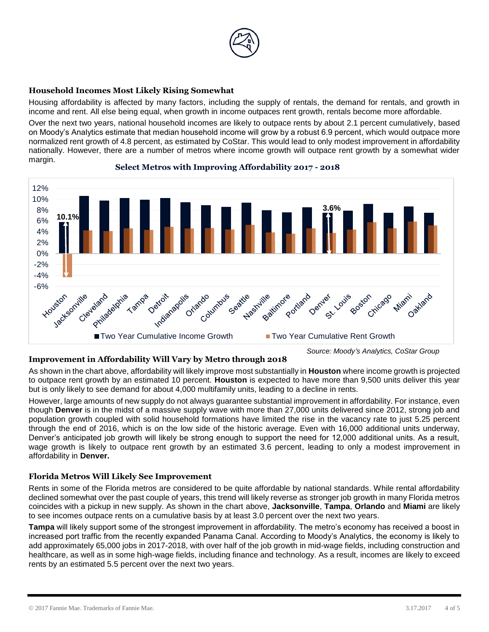

# **Household Incomes Most Likely Rising Somewhat**

Housing affordability is affected by many factors, including the supply of rentals, the demand for rentals, and growth in income and rent. All else being equal, when growth in income outpaces rent growth, rentals become more affordable.

Over the next two years, national household incomes are likely to outpace rents by about 2.1 percent cumulatively, based on Moody's Analytics estimate that median household income will grow by a robust 6.9 percent, which would outpace more normalized rent growth of 4.8 percent, as estimated by CoStar. This would lead to only modest improvement in affordability nationally. However, there are a number of metros where income growth will outpace rent growth by a somewhat wider margin.



#### **Select Metros with Improving Affordability 2017 - 2018**

### **Improvement in Affordability Will Vary by Metro through 2018**

As shown in the chart above, affordability will likely improve most substantially in **Houston** where income growth is projected to outpace rent growth by an estimated 10 percent. **Houston** is expected to have more than 9,500 units deliver this year but is only likely to see demand for about 4,000 multifamily units, leading to a decline in rents.

However, large amounts of new supply do not always guarantee substantial improvement in affordability. For instance, even though **Denver** is in the midst of a massive supply wave with more than 27,000 units delivered since 2012, strong job and population growth coupled with solid household formations have limited the rise in the vacancy rate to just 5.25 percent through the end of 2016, which is on the low side of the historic average. Even with 16,000 additional units underway, Denver's anticipated job growth will likely be strong enough to support the need for 12,000 additional units. As a result, wage growth is likely to outpace rent growth by an estimated 3.6 percent, leading to only a modest improvement in affordability in **Denver.**

### **Florida Metros Will Likely See Improvement**

Rents in some of the Florida metros are considered to be quite affordable by national standards. While rental affordability declined somewhat over the past couple of years, this trend will likely reverse as stronger job growth in many Florida metros coincides with a pickup in new supply. As shown in the chart above, **Jacksonville**, **Tampa**, **Orlando** and **Miami** are likely to see incomes outpace rents on a cumulative basis by at least 3.0 percent over the next two years.

**Tampa** will likely support some of the strongest improvement in affordability. The metro's economy has received a boost in increased port traffic from the recently expanded Panama Canal. According to Moody's Analytics, the economy is likely to add approximately 65,000 jobs in 2017-2018, with over half of the job growth in mid-wage fields, including construction and healthcare, as well as in some high-wage fields, including finance and technology. As a result, incomes are likely to exceed rents by an estimated 5.5 percent over the next two years.